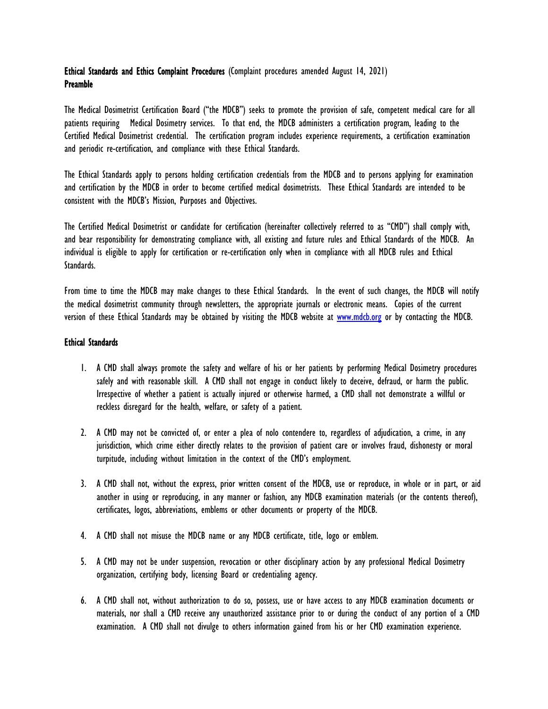# Ethical Standards and Ethics Complaint Procedures (Complaint procedures amended August 14, 2021) Preamble

The Medical Dosimetrist Certification Board ("the MDCB") seeks to promote the provision of safe, competent medical care for all patients requiring Medical Dosimetry services. To that end, the MDCB administers a certification program, leading to the Certified Medical Dosimetrist credential. The certification program includes experience requirements, a certification examination and periodic re-certification, and compliance with these Ethical Standards.

The Ethical Standards apply to persons holding certification credentials from the MDCB and to persons applying for examination and certification by the MDCB in order to become certified medical dosimetrists. These Ethical Standards are intended to be consistent with the MDCB's Mission, Purposes and Objectives.

The Certified Medical Dosimetrist or candidate for certification (hereinafter collectively referred to as "CMD") shall comply with, and bear responsibility for demonstrating compliance with, all existing and future rules and Ethical Standards of the MDCB. An individual is eligible to apply for certification or re-certification only when in compliance with all MDCB rules and Ethical Standards.

From time to time the MDCB may make changes to these Ethical Standards. In the event of such changes, the MDCB will notify the medical dosimetrist community through newsletters, the appropriate journals or electronic means. Copies of the current version of these Ethical Standards may be obtained by visiting the MDCB website at [www.mdcb.org](http://www.mdcb.org/) or by contacting the MDCB.

### Ethical Standards

- 1. A CMD shall always promote the safety and welfare of his or her patients by performing Medical Dosimetry procedures safely and with reasonable skill. A CMD shall not engage in conduct likely to deceive, defraud, or harm the public. Irrespective of whether a patient is actually injured or otherwise harmed, a CMD shall not demonstrate a willful or reckless disregard for the health, welfare, or safety of a patient.
- 2. A CMD may not be convicted of, or enter a plea of nolo contendere to, regardless of adjudication, a crime, in any jurisdiction, which crime either directly relates to the provision of patient care or involves fraud, dishonesty or moral turpitude, including without limitation in the context of the CMD's employment.
- 3. A CMD shall not, without the express, prior written consent of the MDCB, use or reproduce, in whole or in part, or aid another in using or reproducing, in any manner or fashion, any MDCB examination materials (or the contents thereof), certificates, logos, abbreviations, emblems or other documents or property of the MDCB.
- 4. A CMD shall not misuse the MDCB name or any MDCB certificate, title, logo or emblem.
- 5. A CMD may not be under suspension, revocation or other disciplinary action by any professional Medical Dosimetry organization, certifying body, licensing Board or credentialing agency.
- 6. A CMD shall not, without authorization to do so, possess, use or have access to any MDCB examination documents or materials, nor shall a CMD receive any unauthorized assistance prior to or during the conduct of any portion of a CMD examination. A CMD shall not divulge to others information gained from his or her CMD examination experience.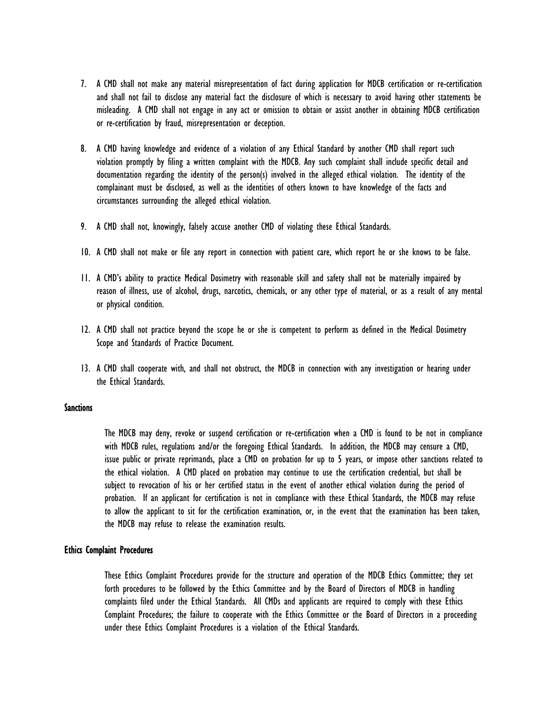- 7. A CMD shall not make any material misrepresentation of fact during application for MDCB certification or re-certification and shall not fail to disclose any material fact the disclosure of which is necessary to avoid having other statements be misleading. A CMD shall not engage in any act or omission to obtain or assist another in obtaining MDCB certification or re-certification by fraud, misrepresentation or deception.
- 8. A CMD having knowledge and evidence of a violation of any Ethical Standard by another CMD shall report such violation promptly by filing a written complaint with the MDCB. Any such complaint shall include specific detail and documentation regarding the identity of the person(s) involved in the alleged ethical violation. The identity of the complainant must be disclosed, as well as the identities of others known to have knowledge of the facts and circumstances surrounding the alleged ethical violation.
- 9. A CMD shall not, knowingly, falsely accuse another CMD of violating these Ethical Standards.
- 10. A CMD shall not make or file any report in connection with patient care, which report he or she knows to be false.
- 11. A CMD's ability to practice Medical Dosimetry with reasonable skill and safety shall not be materially impaired by reason of illness, use of alcohol, drugs, narcotics, chemicals, or any other type of material, or as a result of any mental or physical condition.
- 12. A CMD shall not practice beyond the scope he or she is competent to perform as defined in the Medical Dosimetry Scope and Standards of Practice Document.
- 13. A CMD shall cooperate with, and shall not obstruct, the MDCB in connection with any investigation or hearing under the Ethical Standards.

### **Sanctions**

The MDCB may deny, revoke or suspend certification or re-certification when a CMD is found to be not in compliance with MDCB rules, regulations and/or the foregoing Ethical Standards. In addition, the MDCB may censure a CMD, issue public or private reprimands, place a CMD on probation for up to 5 years, or impose other sanctions related to the ethical violation. A CMD placed on probation may continue to use the certification credential, but shall be subject to revocation of his or her certified status in the event of another ethical violation during the period of probation. If an applicant for certification is not in compliance with these Ethical Standards, the MDCB may refuse to allow the applicant to sit for the certification examination, or, in the event that the examination has been taken, the MDCB may refuse to release the examination results.

## Ethics Complaint Procedures

These Ethics Complaint Procedures provide for the structure and operation of the MDCB Ethics Committee; they set forth procedures to be followed by the Ethics Committee and by the Board of Directors of MDCB in handling complaints filed under the Ethical Standards. All CMDs and applicants are required to comply with these Ethics Complaint Procedures; the failure to cooperate with the Ethics Committee or the Board of Directors in a proceeding under these Ethics Complaint Procedures is a violation of the Ethical Standards.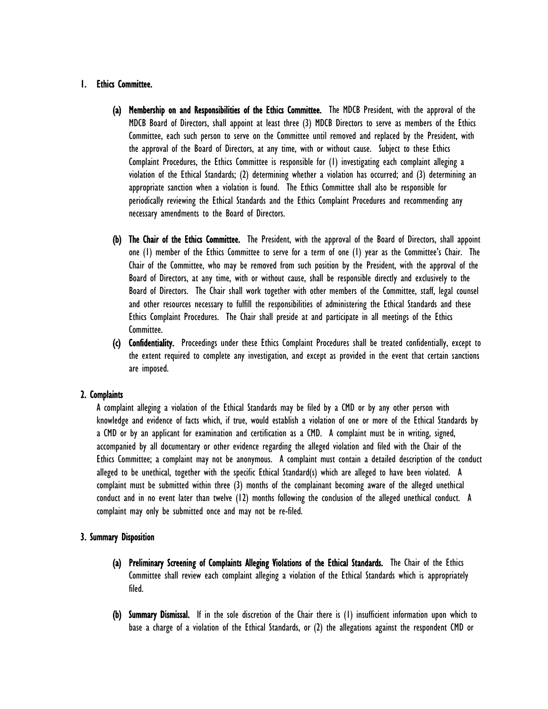## 1. Ethics Committee.

- (a) Membership on and Responsibilities of the Ethics Committee. The MDCB President, with the approval of the MDCB Board of Directors, shall appoint at least three (3) MDCB Directors to serve as members of the Ethics Committee, each such person to serve on the Committee until removed and replaced by the President, with the approval of the Board of Directors, at any time, with or without cause. Subject to these Ethics Complaint Procedures, the Ethics Committee is responsible for (1) investigating each complaint alleging a violation of the Ethical Standards; (2) determining whether a violation has occurred; and (3) determining an appropriate sanction when a violation is found. The Ethics Committee shall also be responsible for periodically reviewing the Ethical Standards and the Ethics Complaint Procedures and recommending any necessary amendments to the Board of Directors.
- (b) The Chair of the Ethics Committee. The President, with the approval of the Board of Directors, shall appoint one (1) member of the Ethics Committee to serve for a term of one (1) year as the Committee's Chair. The Chair of the Committee, who may be removed from such position by the President, with the approval of the Board of Directors, at any time, with or without cause, shall be responsible directly and exclusively to the Board of Directors. The Chair shall work together with other members of the Committee, staff, legal counsel and other resources necessary to fulfill the responsibilities of administering the Ethical Standards and these Ethics Complaint Procedures. The Chair shall preside at and participate in all meetings of the Ethics Committee.
- (c) Confidentiality. Proceedings under these Ethics Complaint Procedures shall be treated confidentially, except to the extent required to complete any investigation, and except as provided in the event that certain sanctions are imposed.

### 2. Complaints

A complaint alleging a violation of the Ethical Standards may be filed by a CMD or by any other person with knowledge and evidence of facts which, if true, would establish a violation of one or more of the Ethical Standards by a CMD or by an applicant for examination and certification as a CMD. A complaint must be in writing, signed, accompanied by all documentary or other evidence regarding the alleged violation and filed with the Chair of the Ethics Committee; a complaint may not be anonymous. A complaint must contain a detailed description of the conduct alleged to be unethical, together with the specific Ethical Standard(s) which are alleged to have been violated. A complaint must be submitted within three (3) months of the complainant becoming aware of the alleged unethical conduct and in no event later than twelve (12) months following the conclusion of the alleged unethical conduct. A complaint may only be submitted once and may not be re-filed.

### 3. Summary Disposition

- (a) Preliminary Screening of Complaints Alleging Violations of the Ethical Standards. The Chair of the Ethics Committee shall review each complaint alleging a violation of the Ethical Standards which is appropriately filed.
- (b) Summary Dismissal. If in the sole discretion of the Chair there is (1) insufficient information upon which to base a charge of a violation of the Ethical Standards, or (2) the allegations against the respondent CMD or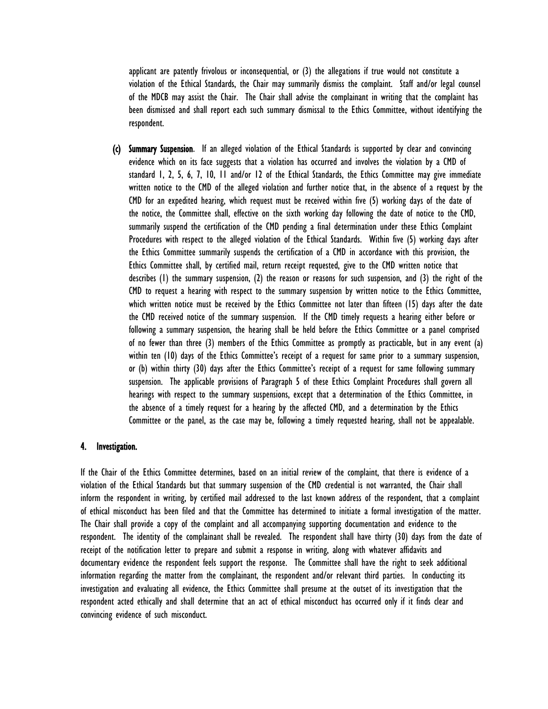applicant are patently frivolous or inconsequential, or (3) the allegations if true would not constitute a violation of the Ethical Standards, the Chair may summarily dismiss the complaint. Staff and/or legal counsel of the MDCB may assist the Chair. The Chair shall advise the complainant in writing that the complaint has been dismissed and shall report each such summary dismissal to the Ethics Committee, without identifying the respondent.

(c) Summary Suspension. If an alleged violation of the Ethical Standards is supported by clear and convincing evidence which on its face suggests that a violation has occurred and involves the violation by a CMD of standard 1, 2, 5, 6, 7, 10, 11 and/or 12 of the Ethical Standards, the Ethics Committee may give immediate written notice to the CMD of the alleged violation and further notice that, in the absence of a request by the CMD for an expedited hearing, which request must be received within five (5) working days of the date of the notice, the Committee shall, effective on the sixth working day following the date of notice to the CMD, summarily suspend the certification of the CMD pending a final determination under these Ethics Complaint Procedures with respect to the alleged violation of the Ethical Standards. Within five (5) working days after the Ethics Committee summarily suspends the certification of a CMD in accordance with this provision, the Ethics Committee shall, by certified mail, return receipt requested, give to the CMD written notice that describes (1) the summary suspension, (2) the reason or reasons for such suspension, and (3) the right of the CMD to request a hearing with respect to the summary suspension by written notice to the Ethics Committee, which written notice must be received by the Ethics Committee not later than fifteen (15) days after the date the CMD received notice of the summary suspension. If the CMD timely requests a hearing either before or following a summary suspension, the hearing shall be held before the Ethics Committee or a panel comprised of no fewer than three (3) members of the Ethics Committee as promptly as practicable, but in any event (a) within ten (10) days of the Ethics Committee's receipt of a request for same prior to a summary suspension, or (b) within thirty (30) days after the Ethics Committee's receipt of a request for same following summary suspension. The applicable provisions of Paragraph 5 of these Ethics Complaint Procedures shall govern all hearings with respect to the summary suspensions, except that a determination of the Ethics Committee, in the absence of a timely request for a hearing by the affected CMD, and a determination by the Ethics Committee or the panel, as the case may be, following a timely requested hearing, shall not be appealable.

#### 4. Investigation.

If the Chair of the Ethics Committee determines, based on an initial review of the complaint, that there is evidence of a violation of the Ethical Standards but that summary suspension of the CMD credential is not warranted, the Chair shall inform the respondent in writing, by certified mail addressed to the last known address of the respondent, that a complaint of ethical misconduct has been filed and that the Committee has determined to initiate a formal investigation of the matter. The Chair shall provide a copy of the complaint and all accompanying supporting documentation and evidence to the respondent. The identity of the complainant shall be revealed. The respondent shall have thirty (30) days from the date of receipt of the notification letter to prepare and submit a response in writing, along with whatever affidavits and documentary evidence the respondent feels support the response. The Committee shall have the right to seek additional information regarding the matter from the complainant, the respondent and/or relevant third parties. In conducting its investigation and evaluating all evidence, the Ethics Committee shall presume at the outset of its investigation that the respondent acted ethically and shall determine that an act of ethical misconduct has occurred only if it finds clear and convincing evidence of such misconduct.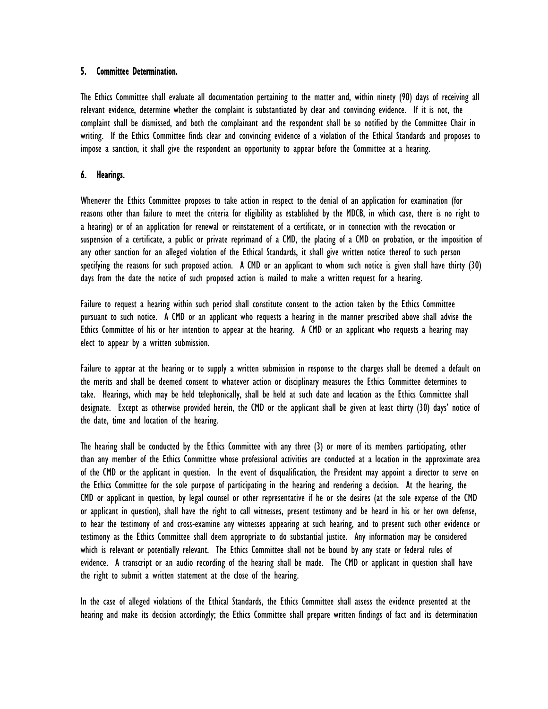### 5. Committee Determination.

The Ethics Committee shall evaluate all documentation pertaining to the matter and, within ninety (90) days of receiving all relevant evidence, determine whether the complaint is substantiated by clear and convincing evidence. If it is not, the complaint shall be dismissed, and both the complainant and the respondent shall be so notified by the Committee Chair in writing. If the Ethics Committee finds clear and convincing evidence of a violation of the Ethical Standards and proposes to impose a sanction, it shall give the respondent an opportunity to appear before the Committee at a hearing.

## 6. Hearings.

Whenever the Ethics Committee proposes to take action in respect to the denial of an application for examination (for reasons other than failure to meet the criteria for eligibility as established by the MDCB, in which case, there is no right to a hearing) or of an application for renewal or reinstatement of a certificate, or in connection with the revocation or suspension of a certificate, a public or private reprimand of a CMD, the placing of a CMD on probation, or the imposition of any other sanction for an alleged violation of the Ethical Standards, it shall give written notice thereof to such person specifying the reasons for such proposed action. A CMD or an applicant to whom such notice is given shall have thirty (30) days from the date the notice of such proposed action is mailed to make a written request for a hearing.

Failure to request a hearing within such period shall constitute consent to the action taken by the Ethics Committee pursuant to such notice. A CMD or an applicant who requests a hearing in the manner prescribed above shall advise the Ethics Committee of his or her intention to appear at the hearing. A CMD or an applicant who requests a hearing may elect to appear by a written submission.

Failure to appear at the hearing or to supply a written submission in response to the charges shall be deemed a default on the merits and shall be deemed consent to whatever action or disciplinary measures the Ethics Committee determines to take. Hearings, which may be held telephonically, shall be held at such date and location as the Ethics Committee shall designate. Except as otherwise provided herein, the CMD or the applicant shall be given at least thirty (30) days' notice of the date, time and location of the hearing.

The hearing shall be conducted by the Ethics Committee with any three (3) or more of its members participating, other than any member of the Ethics Committee whose professional activities are conducted at a location in the approximate area of the CMD or the applicant in question. In the event of disqualification, the President may appoint a director to serve on the Ethics Committee for the sole purpose of participating in the hearing and rendering a decision. At the hearing, the CMD or applicant in question, by legal counsel or other representative if he or she desires (at the sole expense of the CMD or applicant in question), shall have the right to call witnesses, present testimony and be heard in his or her own defense, to hear the testimony of and cross-examine any witnesses appearing at such hearing, and to present such other evidence or testimony as the Ethics Committee shall deem appropriate to do substantial justice. Any information may be considered which is relevant or potentially relevant. The Ethics Committee shall not be bound by any state or federal rules of evidence. A transcript or an audio recording of the hearing shall be made. The CMD or applicant in question shall have the right to submit a written statement at the close of the hearing.

In the case of alleged violations of the Ethical Standards, the Ethics Committee shall assess the evidence presented at the hearing and make its decision accordingly; the Ethics Committee shall prepare written findings of fact and its determination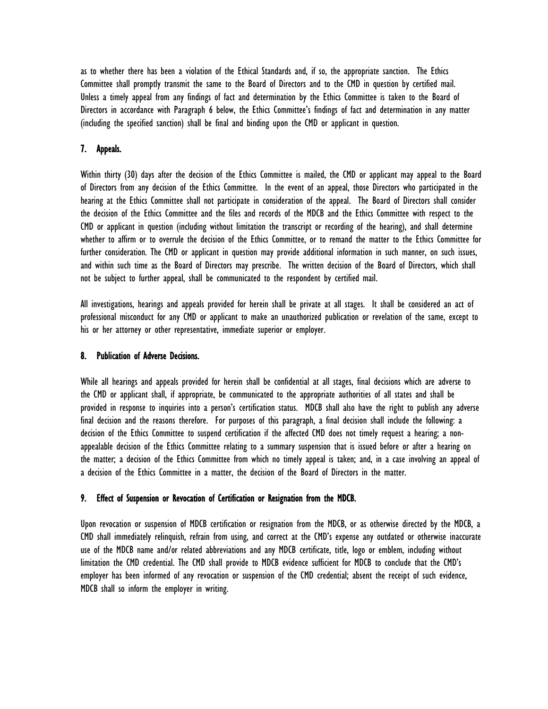as to whether there has been a violation of the Ethical Standards and, if so, the appropriate sanction. The Ethics Committee shall promptly transmit the same to the Board of Directors and to the CMD in question by certified mail. Unless a timely appeal from any findings of fact and determination by the Ethics Committee is taken to the Board of Directors in accordance with Paragraph 6 below, the Ethics Committee's findings of fact and determination in any matter (including the specified sanction) shall be final and binding upon the CMD or applicant in question.

## 7. Appeals.

Within thirty (30) days after the decision of the Ethics Committee is mailed, the CMD or applicant may appeal to the Board of Directors from any decision of the Ethics Committee. In the event of an appeal, those Directors who participated in the hearing at the Ethics Committee shall not participate in consideration of the appeal. The Board of Directors shall consider the decision of the Ethics Committee and the files and records of the MDCB and the Ethics Committee with respect to the CMD or applicant in question (including without limitation the transcript or recording of the hearing), and shall determine whether to affirm or to overrule the decision of the Ethics Committee, or to remand the matter to the Ethics Committee for further consideration. The CMD or applicant in question may provide additional information in such manner, on such issues, and within such time as the Board of Directors may prescribe. The written decision of the Board of Directors, which shall not be subject to further appeal, shall be communicated to the respondent by certified mail.

All investigations, hearings and appeals provided for herein shall be private at all stages. It shall be considered an act of professional misconduct for any CMD or applicant to make an unauthorized publication or revelation of the same, except to his or her attorney or other representative, immediate superior or employer.

### 8. Publication of Adverse Decisions.

While all hearings and appeals provided for herein shall be confidential at all stages, final decisions which are adverse to the CMD or applicant shall, if appropriate, be communicated to the appropriate authorities of all states and shall be provided in response to inquiries into a person's certification status. MDCB shall also have the right to publish any adverse final decision and the reasons therefore. For purposes of this paragraph, a final decision shall include the following: a decision of the Ethics Committee to suspend certification if the affected CMD does not timely request a hearing; a nonappealable decision of the Ethics Committee relating to a summary suspension that is issued before or after a hearing on the matter; a decision of the Ethics Committee from which no timely appeal is taken; and, in a case involving an appeal of a decision of the Ethics Committee in a matter, the decision of the Board of Directors in the matter.

#### 9. Effect of Suspension or Revocation of Certification or Resignation from the MDCB.

Upon revocation or suspension of MDCB certification or resignation from the MDCB, or as otherwise directed by the MDCB, a CMD shall immediately relinquish, refrain from using, and correct at the CMD's expense any outdated or otherwise inaccurate use of the MDCB name and/or related abbreviations and any MDCB certificate, title, logo or emblem, including without limitation the CMD credential. The CMD shall provide to MDCB evidence sufficient for MDCB to conclude that the CMD's employer has been informed of any revocation or suspension of the CMD credential; absent the receipt of such evidence, MDCB shall so inform the employer in writing.